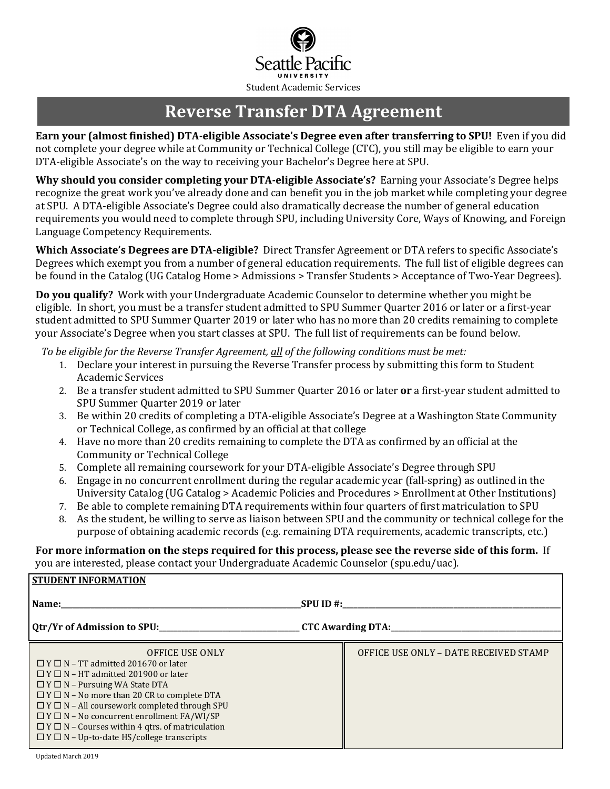

# **Reverse Transfer DTA Agreement**

**Earn your (almost finished) DTA-eligible Associate's Degree even after transferring to SPU!** Even if you did not complete your degree while at Community or Technical College (CTC), you still may be eligible to earn your DTA-eligible Associate's on the way to receiving your Bachelor's Degree here at SPU.

**Why should you consider completing your DTA-eligible Associate's?** Earning your Associate's Degree helps recognize the great work you've already done and can benefit you in the job market while completing your degree at SPU. A DTA-eligible Associate's Degree could also dramatically decrease the number of general education requirements you would need to complete through SPU, including University Core, Ways of Knowing, and Foreign Language Competency Requirements.

**Which Associate's Degrees are DTA-eligible?** Direct Transfer Agreement or DTA refers to specific Associate's Degrees which exempt you from a number of general education requirements. The full list of eligible degrees can be found in the Catalog (UG Catalog Home > Admissions > Transfer Students > Acceptance of Two-Year Degrees).

**Do you qualify?** Work with your Undergraduate Academic Counselor to determine whether you might be eligible. In short, you must be a transfer student admitted to SPU Summer Quarter 2016 or later or a first-year student admitted to SPU Summer Quarter 2019 or later who has no more than 20 credits remaining to complete your Associate's Degree when you start classes at SPU. The full list of requirements can be found below.

*To be eligible for the Reverse Transfer Agreement, all of the following conditions must be met:*

- 1. Declare your interest in pursuing the Reverse Transfer process by submitting this form to Student Academic Services
- 2. Be a transfer student admitted to SPU Summer Quarter 2016 or later **or** a first-year student admitted to SPU Summer Quarter 2019 or later
- 3. Be within 20 credits of completing a DTA-eligible Associate's Degree at a Washington State Community or Technical College, as confirmed by an official at that college
- 4. Have no more than 20 credits remaining to complete the DTA as confirmed by an official at the Community or Technical College
- 5. Complete all remaining coursework for your DTA-eligible Associate's Degree through SPU
- 6. Engage in no concurrent enrollment during the regular academic year (fall-spring) as outlined in the University Catalog (UG Catalog > Academic Policies and Procedures > Enrollment at Other Institutions)
- 7. Be able to complete remaining DTA requirements within four quarters of first matriculation to SPU
- 8. As the student, be willing to serve as liaison between SPU and the community or technical college for the purpose of obtaining academic records (e.g. remaining DTA requirements, academic transcripts, etc.)

#### **For more information on the steps required for this process, please see the reverse side of this form.** If you are interested, please contact your Undergraduate Academic Counselor (spu.edu/uac).

| <b>STUDENT INFORMATION</b>                                                                                                                                                                                                                                                                                                                                                                                                                                                       |                                       |
|----------------------------------------------------------------------------------------------------------------------------------------------------------------------------------------------------------------------------------------------------------------------------------------------------------------------------------------------------------------------------------------------------------------------------------------------------------------------------------|---------------------------------------|
|                                                                                                                                                                                                                                                                                                                                                                                                                                                                                  | $SPUID \#$                            |
|                                                                                                                                                                                                                                                                                                                                                                                                                                                                                  |                                       |
| <b>OFFICE USE ONLY</b><br>$\Box$ Y $\Box$ N – TT admitted 201670 or later<br>$\Box$ Y $\Box$ N – HT admitted 201900 or later<br>$\Box$ Y $\Box$ N – Pursuing WA State DTA<br>$\Box$ Y $\Box$ N – No more than 20 CR to complete DTA<br>$\Box$ Y $\Box$ N – All coursework completed through SPU<br>$\Box$ Y $\Box$ N – No concurrent enrollment FA/WI/SP<br>$\Box$ Y $\Box$ N - Courses within 4 qtrs. of matriculation<br>$\Box$ Y $\Box$ N – Up-to-date HS/college transcripts | OFFICE USE ONLY - DATE RECEIVED STAMP |

Updated March 2019